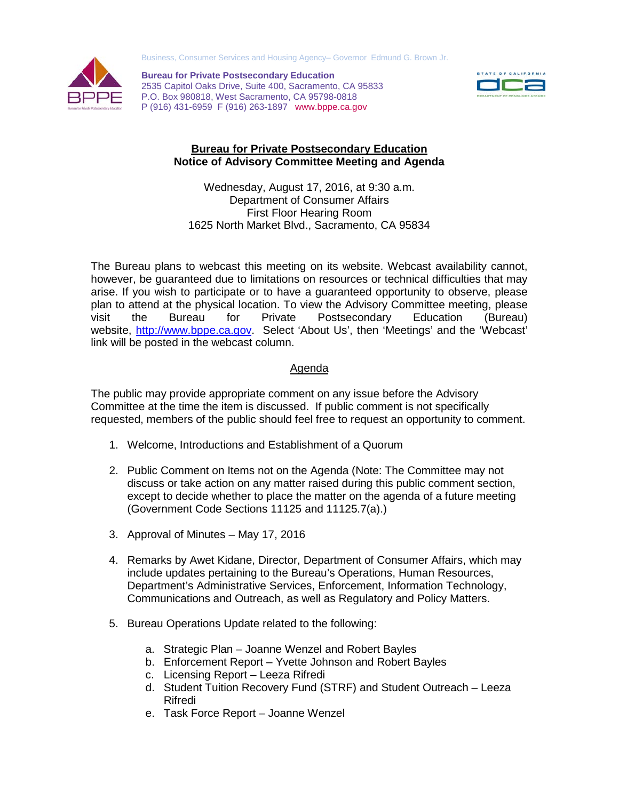Business, Consumer Services and Housing Agency– Governor Edmund G. Brown Jr.



**Bureau for Private Postsecondary Education** 2535 Capitol Oaks Drive, Suite 400, Sacramento, CA 95833 P.O. Box 980818, West Sacramento, CA 95798-0818 P (916) 431-6959 F (916) 263-1897 www.bppe.ca.gov



## **Bureau for Private Postsecondary Education Notice of Advisory Committee Meeting and Agenda**

Wednesday, August 17, 2016, at 9:30 a.m. Department of Consumer Affairs First Floor Hearing Room 1625 North Market Blvd., Sacramento, CA 95834

The Bureau plans to webcast this meeting on its website. Webcast availability cannot, however, be guaranteed due to limitations on resources or technical difficulties that may arise. If you wish to participate or to have a guaranteed opportunity to observe, please plan to attend at the physical location. To view the Advisory Committee meeting, please visit the Bureau for Private Postsecondary Education (Bureau) website, [http://www.bppe.ca.gov.](http://www.bppe.ca.gov/) Select 'About Us', then 'Meetings' and the 'Webcast' link will be posted in the webcast column.

## Agenda

The public may provide appropriate comment on any issue before the Advisory Committee at the time the item is discussed. If public comment is not specifically requested, members of the public should feel free to request an opportunity to comment.

- 1. Welcome, Introductions and Establishment of a Quorum
- 2. Public Comment on Items not on the Agenda (Note: The Committee may not discuss or take action on any matter raised during this public comment section, except to decide whether to place the matter on the agenda of a future meeting (Government Code Sections 11125 and 11125.7(a).)
- 3. Approval of Minutes May 17, 2016
- 4. Remarks by Awet Kidane, Director, Department of Consumer Affairs, which may include updates pertaining to the Bureau's Operations, Human Resources, Department's Administrative Services, Enforcement, Information Technology, Communications and Outreach, as well as Regulatory and Policy Matters.
- 5. Bureau Operations Update related to the following:
	- a. Strategic Plan Joanne Wenzel and Robert Bayles
	- b. Enforcement Report Yvette Johnson and Robert Bayles
	- c. Licensing Report Leeza Rifredi
	- d. Student Tuition Recovery Fund (STRF) and Student Outreach Leeza Rifredi
	- e. Task Force Report Joanne Wenzel